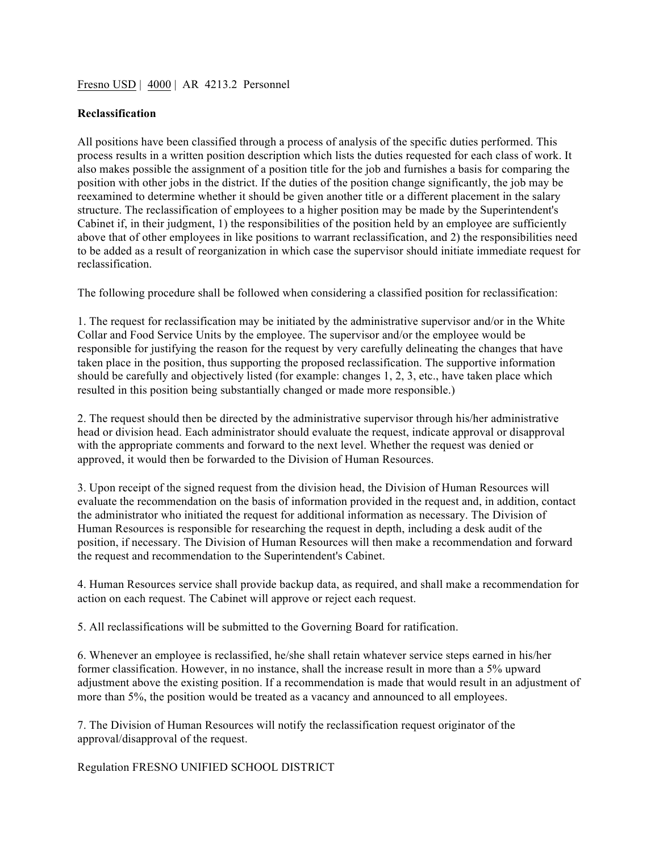## Fresno USD | 4000 | AR 4213.2 Personnel

## **Reclassification**

All positions have been classified through a process of analysis of the specific duties performed. This process results in a written position description which lists the duties requested for each class of work. It also makes possible the assignment of a position title for the job and furnishes a basis for comparing the position with other jobs in the district. If the duties of the position change significantly, the job may be reexamined to determine whether it should be given another title or a different placement in the salary structure. The reclassification of employees to a higher position may be made by the Superintendent's Cabinet if, in their judgment, 1) the responsibilities of the position held by an employee are sufficiently above that of other employees in like positions to warrant reclassification, and 2) the responsibilities need to be added as a result of reorganization in which case the supervisor should initiate immediate request for reclassification.

The following procedure shall be followed when considering a classified position for reclassification:

1. The request for reclassification may be initiated by the administrative supervisor and/or in the White Collar and Food Service Units by the employee. The supervisor and/or the employee would be responsible for justifying the reason for the request by very carefully delineating the changes that have taken place in the position, thus supporting the proposed reclassification. The supportive information should be carefully and objectively listed (for example: changes 1, 2, 3, etc., have taken place which resulted in this position being substantially changed or made more responsible.)

2. The request should then be directed by the administrative supervisor through his/her administrative head or division head. Each administrator should evaluate the request, indicate approval or disapproval with the appropriate comments and forward to the next level. Whether the request was denied or approved, it would then be forwarded to the Division of Human Resources.

3. Upon receipt of the signed request from the division head, the Division of Human Resources will evaluate the recommendation on the basis of information provided in the request and, in addition, contact the administrator who initiated the request for additional information as necessary. The Division of Human Resources is responsible for researching the request in depth, including a desk audit of the position, if necessary. The Division of Human Resources will then make a recommendation and forward the request and recommendation to the Superintendent's Cabinet.

4. Human Resources service shall provide backup data, as required, and shall make a recommendation for action on each request. The Cabinet will approve or reject each request.

5. All reclassifications will be submitted to the Governing Board for ratification.

6. Whenever an employee is reclassified, he/she shall retain whatever service steps earned in his/her former classification. However, in no instance, shall the increase result in more than a 5% upward adjustment above the existing position. If a recommendation is made that would result in an adjustment of more than 5%, the position would be treated as a vacancy and announced to all employees.

7. The Division of Human Resources will notify the reclassification request originator of the approval/disapproval of the request.

Regulation FRESNO UNIFIED SCHOOL DISTRICT